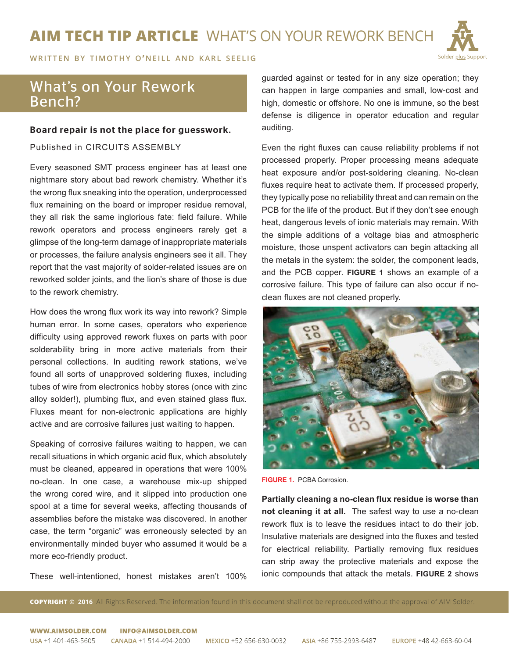# **AIM TECH TIP ARTICLE** WHAT'S ON YOUR REWORK BENCH



WRITTEN BY TIMOTHY O'NEILL AND KARL SEELIG

# What's on Your Rework Bench?

### Board repair is not the place for guesswork.

Published in CIRCUITS ASSEMBLY

Every seasoned SMT process engineer has at least one nightmare story about bad rework chemistry. Whether it's the wrong flux sneaking into the operation, underprocessed flux remaining on the board or improper residue removal, they all risk the same inglorious fate: field failure. While rework operators and process engineers rarely get a glimpse of the long-term damage of inappropriate materials or processes, the failure analysis engineers see it all. They report that the vast majority of solder-related issues are on reworked solder joints, and the lion's share of those is due to the rework chemistry.

How does the wrong flux work its way into rework? Simple human error. In some cases, operators who experience difficulty using approved rework fluxes on parts with poor solderability bring in more active materials from their personal collections. In auditing rework stations, we've found all sorts of unapproved soldering fluxes, including tubes of wire from electronics hobby stores (once with zinc alloy solder!), plumbing flux, and even stained glass flux. Fluxes meant for non-electronic applications are highly active and are corrosive failures just waiting to happen.

Speaking of corrosive failures waiting to happen, we can recall situations in which organic acid flux, which absolutely must be cleaned, appeared in operations that were 100% no-clean. In one case, a warehouse mix-up shipped the wrong cored wire, and it slipped into production one spool at a time for several weeks, affecting thousands of assemblies before the mistake was discovered. In another case, the term "organic" was erroneously selected by an environmentally minded buyer who assumed it would be a more eco-friendly product.

These well-intentioned, honest mistakes aren't 100%

guarded against or tested for in any size operation; they can happen in large companies and small, low-cost and high, domestic or offshore. No one is immune, so the best defense is diligence in operator education and regular auditing.

Even the right fluxes can cause reliability problems if not processed properly. Proper processing means adequate heat exposure and/or post-soldering cleaning. No-clean fluxes require heat to activate them. If processed properly, they typically pose no reliability threat and can remain on the PCB for the life of the product. But if they don't see enough heat, dangerous levels of ionic materials may remain. With the simple additions of a voltage bias and atmospheric moisture, those unspent activators can begin attacking all the metals in the system: the solder, the component leads, and the PCB copper. **FIGURE 1** shows an example of a corrosive failure. This type of failure can also occur if noclean fluxes are not cleaned properly.



**FIGURE 1.** PCBA Corrosion.

**Partially cleaning a no-clean flux residue is worse than not cleaning it at all.** The safest way to use a no-clean rework flux is to leave the residues intact to do their job. Insulative materials are designed into the fluxes and tested for electrical reliability. Partially removing flux residues can strip away the protective materials and expose the ionic compounds that attack the metals. **FIGURE 2** shows

**COPYRIGHT © 2016** All Rights Reserved. The information found in this document shall not be reproduced without the approval of AIM Solder.

#### WWW AIMSOLDER COM INFO@AIMSOLDER COM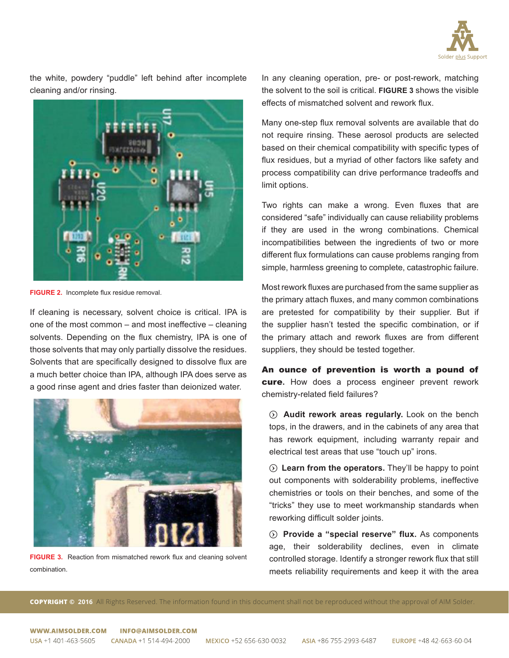

the white, powdery "puddle" left behind after incomplete cleaning and/or rinsing.



**FIGURE 2.** Incomplete flux residue removal.

If cleaning is necessary, solvent choice is critical. IPA is one of the most common – and most ineffective – cleaning solvents. Depending on the flux chemistry, IPA is one of those solvents that may only partially dissolve the residues. Solvents that are specifically designed to dissolve flux are a much better choice than IPA, although IPA does serve as a good rinse agent and dries faster than deionized water.



FIGURE 3. Reaction from mismatched rework flux and cleaning solvent combination.

In any cleaning operation, pre- or post-rework, matching the solvent to the soil is critical. **FIGURE 3** shows the visible effects of mismatched solvent and rework flux.

Many one-step flux removal solvents are available that do not require rinsing. These aerosol products are selected based on their chemical compatibility with specific types of flux residues, but a myriad of other factors like safety and process compatibility can drive performance tradeoffs and limit options.

Two rights can make a wrong. Even fluxes that are considered "safe" individually can cause reliability problems if they are used in the wrong combinations. Chemical incompatibilities between the ingredients of two or more different flux formulations can cause problems ranging from simple, harmless greening to complete, catastrophic failure.

Most rework fluxes are purchased from the same supplier as the primary attach fluxes, and many common combinations are pretested for compatibility by their supplier. But if the supplier hasn't tested the specific combination, or if the primary attach and rework fluxes are from different suppliers, they should be tested together.

An ounce of prevention is worth a pound of cure**.** How does a process engineer prevent rework chemistry-related field failures?

 $\odot$  **Audit rework areas regularly.** Look on the bench tops, in the drawers, and in the cabinets of any area that has rework equipment, including warranty repair and electrical test areas that use "touch up" irons.

 $\odot$  **Learn from the operators.** They'll be happy to point out components with solderability problems, ineffective chemistries or tools on their benches, and some of the "tricks" they use to meet workmanship standards when reworking difficult solder joints.

 $\odot$  Provide a "special reserve" flux. As components age, their solderability declines, even in climate controlled storage. Identify a stronger rework flux that still meets reliability requirements and keep it with the area

**COPYRIGHT © 2016** All Rights Reserved. The information found in this document shall not be reproduced without the approval of AIM Solder.

WWW.AIMSOLDER.COM INFO@AIMSOLDER.COM USA +1 401-463-5605 CANADA +1 514-494-2000

ASIA +86 755-2993-6487